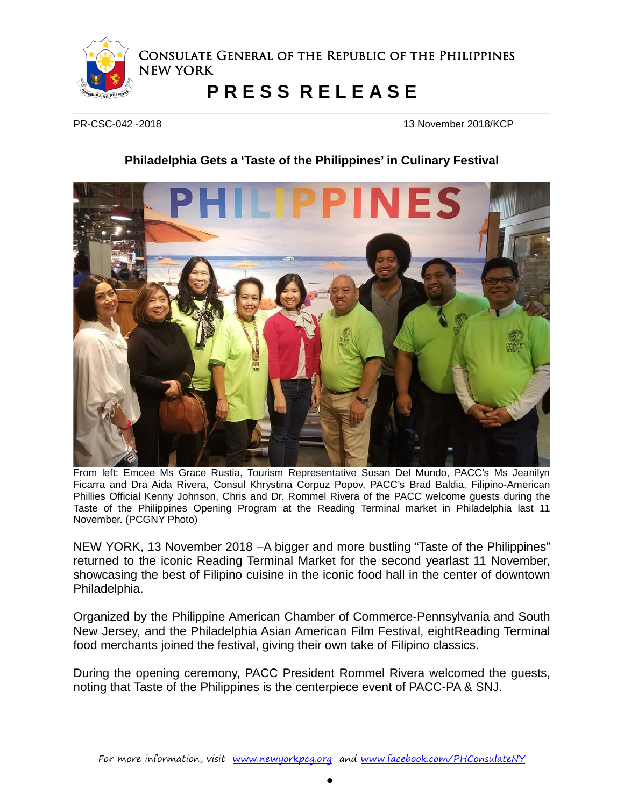

Consulate General of the Republic of the Philippines NEW YORK

## **P R E S S R E L E A S E**

PR-CSC-042 -2018 13 November 2018/KCP

## **Philadelphia Gets a 'Taste of the Philippines' in Culinary Festival**



From left: Emcee Ms Grace Rustia, Tourism Representative Susan Del Mundo, PACC's Ms Jeanilyn Ficarra and Dra Aida Rivera, Consul Khrystina Corpuz Popov, PACC's Brad Baldia, Filipino-American Phillies Official Kenny Johnson, Chris and Dr. Rommel Rivera of the PACC welcome guests during the Taste of the Philippines Opening Program at the Reading Terminal market in Philadelphia last 11 November. (PCGNY Photo)

NEW YORK, 13 November 2018 –A bigger and more bustling "Taste of the Philippines" returned to the iconic Reading Terminal Market for the second yearlast 11 November, showcasing the best of Filipino cuisine in the iconic food hall in the center of downtown Philadelphia.

Organized by the Philippine American Chamber of Commerce-Pennsylvania and South New Jersey, and the Philadelphia Asian American Film Festival, eightReading Terminal food merchants joined the festival, giving their own take of Filipino classics.

During the opening ceremony, PACC President Rommel Rivera welcomed the guests, noting that Taste of the Philippines is the centerpiece event of PACC-PA & SNJ.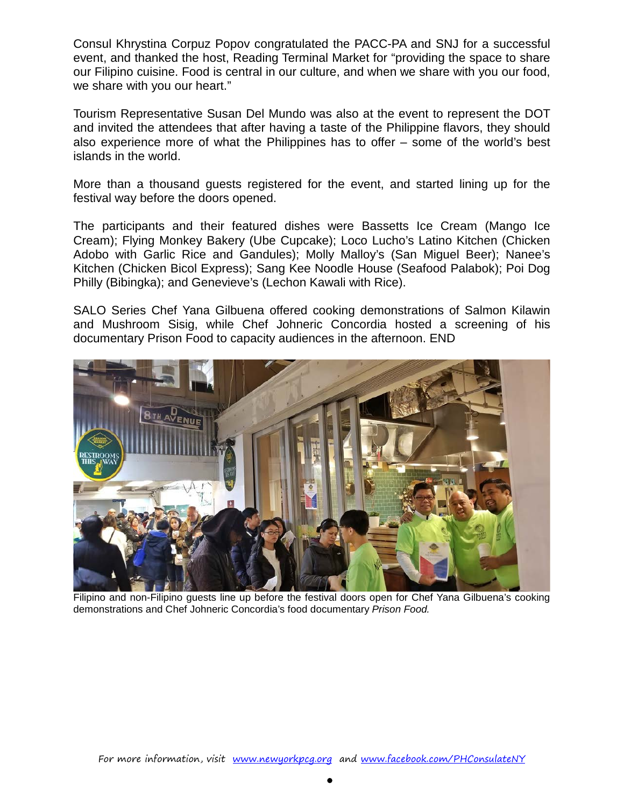Consul Khrystina Corpuz Popov congratulated the PACC-PA and SNJ for a successful event, and thanked the host, Reading Terminal Market for "providing the space to share our Filipino cuisine. Food is central in our culture, and when we share with you our food, we share with you our heart."

Tourism Representative Susan Del Mundo was also at the event to represent the DOT and invited the attendees that after having a taste of the Philippine flavors, they should also experience more of what the Philippines has to offer – some of the world's best islands in the world.

More than a thousand guests registered for the event, and started lining up for the festival way before the doors opened.

The participants and their featured dishes were Bassetts Ice Cream (Mango Ice Cream); Flying Monkey Bakery (Ube Cupcake); Loco Lucho's Latino Kitchen (Chicken Adobo with Garlic Rice and Gandules); Molly Malloy's (San Miguel Beer); Nanee's Kitchen (Chicken Bicol Express); Sang Kee Noodle House (Seafood Palabok); Poi Dog Philly (Bibingka); and Genevieve's (Lechon Kawali with Rice).

SALO Series Chef Yana Gilbuena offered cooking demonstrations of Salmon Kilawin and Mushroom Sisig, while Chef Johneric Concordia hosted a screening of his documentary Prison Food to capacity audiences in the afternoon. END



Filipino and non-Filipino guests line up before the festival doors open for Chef Yana Gilbuena's cooking demonstrations and Chef Johneric Concordia's food documentary *Prison Food.*